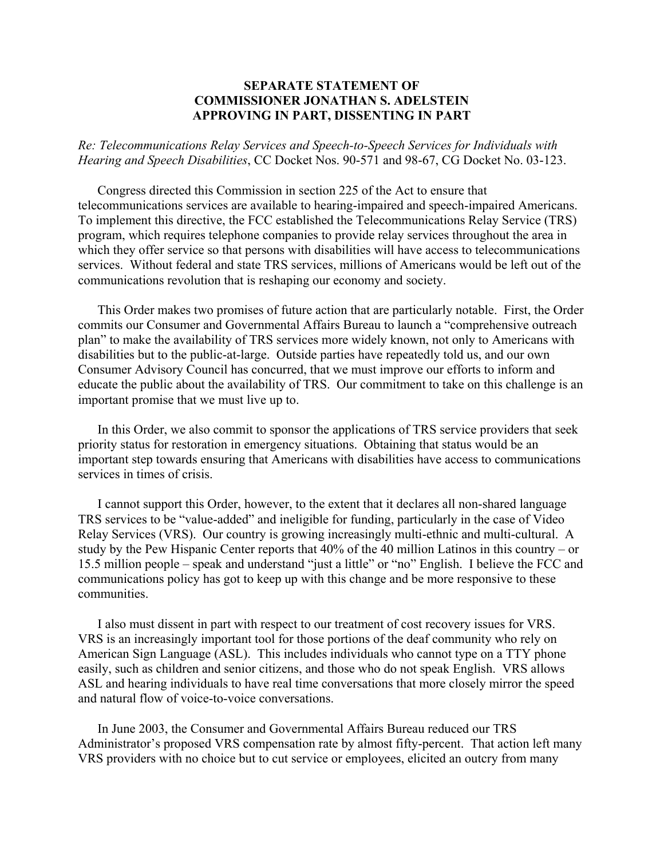## **SEPARATE STATEMENT OF COMMISSIONER JONATHAN S. ADELSTEIN APPROVING IN PART, DISSENTING IN PART**

*Re: Telecommunications Relay Services and Speech-to-Speech Services for Individuals with Hearing and Speech Disabilities*, CC Docket Nos. 90-571 and 98-67, CG Docket No. 03-123.

Congress directed this Commission in section 225 of the Act to ensure that telecommunications services are available to hearing-impaired and speech-impaired Americans. To implement this directive, the FCC established the Telecommunications Relay Service (TRS) program, which requires telephone companies to provide relay services throughout the area in which they offer service so that persons with disabilities will have access to telecommunications services. Without federal and state TRS services, millions of Americans would be left out of the communications revolution that is reshaping our economy and society.

This Order makes two promises of future action that are particularly notable. First, the Order commits our Consumer and Governmental Affairs Bureau to launch a "comprehensive outreach plan" to make the availability of TRS services more widely known, not only to Americans with disabilities but to the public-at-large. Outside parties have repeatedly told us, and our own Consumer Advisory Council has concurred, that we must improve our efforts to inform and educate the public about the availability of TRS. Our commitment to take on this challenge is an important promise that we must live up to.

In this Order, we also commit to sponsor the applications of TRS service providers that seek priority status for restoration in emergency situations. Obtaining that status would be an important step towards ensuring that Americans with disabilities have access to communications services in times of crisis.

I cannot support this Order, however, to the extent that it declares all non-shared language TRS services to be "value-added" and ineligible for funding, particularly in the case of Video Relay Services (VRS). Our country is growing increasingly multi-ethnic and multi-cultural. A study by the Pew Hispanic Center reports that 40% of the 40 million Latinos in this country – or 15.5 million people – speak and understand "just a little" or "no" English. I believe the FCC and communications policy has got to keep up with this change and be more responsive to these communities.

I also must dissent in part with respect to our treatment of cost recovery issues for VRS. VRS is an increasingly important tool for those portions of the deaf community who rely on American Sign Language (ASL). This includes individuals who cannot type on a TTY phone easily, such as children and senior citizens, and those who do not speak English. VRS allows ASL and hearing individuals to have real time conversations that more closely mirror the speed and natural flow of voice-to-voice conversations.

In June 2003, the Consumer and Governmental Affairs Bureau reduced our TRS Administrator's proposed VRS compensation rate by almost fifty-percent. That action left many VRS providers with no choice but to cut service or employees, elicited an outcry from many